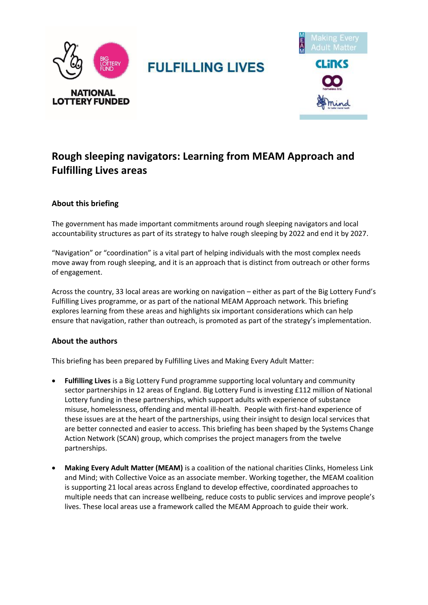



# **Rough sleeping navigators: Learning from MEAM Approach and Fulfilling Lives areas**

# **About this briefing**

The government has made important commitments around rough sleeping navigators and local accountability structures as part of its strategy to halve rough sleeping by 2022 and end it by 2027.

"Navigation" or "coordination" is a vital part of helping individuals with the most complex needs move away from rough sleeping, and it is an approach that is distinct from outreach or other forms of engagement.

Across the country, 33 local areas are working on navigation – either as part of the Big Lottery Fund's Fulfilling Lives programme, or as part of the national MEAM Approach network. This briefing explores learning from these areas and highlights six important considerations which can help ensure that navigation, rather than outreach, is promoted as part of the strategy's implementation.

# **About the authors**

This briefing has been prepared by Fulfilling Lives and Making Every Adult Matter:

- **Fulfilling Lives** is a Big Lottery Fund programme supporting local voluntary and community sector partnerships in 12 areas of England. Big Lottery Fund is investing £112 million of National Lottery funding in these partnerships, which support adults with experience of substance misuse, homelessness, offending and mental ill-health. People with first-hand experience of these issues are at the heart of the partnerships, using their insight to design local services that are better connected and easier to access. This briefing has been shaped by the Systems Change Action Network (SCAN) group, which comprises the project managers from the twelve partnerships.
- **Making Every Adult Matter (MEAM)** is a coalition of the national charities Clinks, Homeless Link and Mind; with Collective Voice as an associate member. Working together, the MEAM coalition is supporting 21 local areas across England to develop effective, coordinated approaches to multiple needs that can increase wellbeing, reduce costs to public services and improve people's lives. These local areas use a framework called the MEAM Approach to guide their work.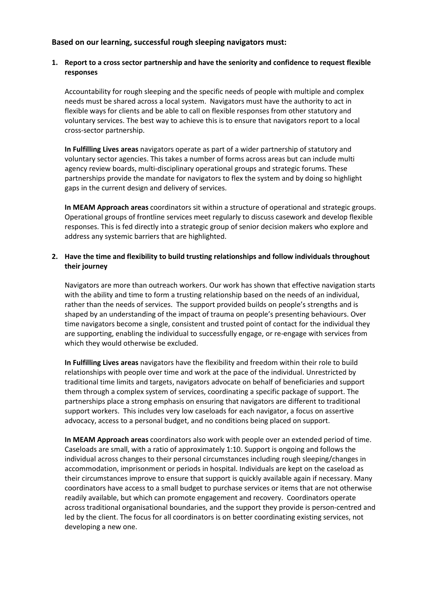# **Based on our learning, successful rough sleeping navigators must:**

#### **1. Report to a cross sector partnership and have the seniority and confidence to request flexible responses**

Accountability for rough sleeping and the specific needs of people with multiple and complex needs must be shared across a local system. Navigators must have the authority to act in flexible ways for clients and be able to call on flexible responses from other statutory and voluntary services. The best way to achieve this is to ensure that navigators report to a local cross-sector partnership.

**In Fulfilling Lives areas** navigators operate as part of a wider partnership of statutory and voluntary sector agencies. This takes a number of forms across areas but can include multi agency review boards, multi-disciplinary operational groups and strategic forums. These partnerships provide the mandate for navigators to flex the system and by doing so highlight gaps in the current design and delivery of services.

**In MEAM Approach areas** coordinators sit within a structure of operational and strategic groups. Operational groups of frontline services meet regularly to discuss casework and develop flexible responses. This is fed directly into a strategic group of senior decision makers who explore and address any systemic barriers that are highlighted.

## **2. Have the time and flexibility to build trusting relationships and follow individuals throughout their journey**

Navigators are more than outreach workers. Our work has shown that effective navigation starts with the ability and time to form a trusting relationship based on the needs of an individual, rather than the needs of services. The support provided builds on people's strengths and is shaped by an understanding of the impact of trauma on people's presenting behaviours. Over time navigators become a single, consistent and trusted point of contact for the individual they are supporting, enabling the individual to successfully engage, or re-engage with services from which they would otherwise be excluded.

**In Fulfilling Lives areas** navigators have the flexibility and freedom within their role to build relationships with people over time and work at the pace of the individual. Unrestricted by traditional time limits and targets, navigators advocate on behalf of beneficiaries and support them through a complex system of services, coordinating a specific package of support. The partnerships place a strong emphasis on ensuring that navigators are different to traditional support workers. This includes very low caseloads for each navigator, a focus on assertive advocacy, access to a personal budget, and no conditions being placed on support.

**In MEAM Approach areas** coordinators also work with people over an extended period of time. Caseloads are small, with a ratio of approximately 1:10. Support is ongoing and follows the individual across changes to their personal circumstances including rough sleeping/changes in accommodation, imprisonment or periods in hospital. Individuals are kept on the caseload as their circumstances improve to ensure that support is quickly available again if necessary. Many coordinators have access to a small budget to purchase services or items that are not otherwise readily available, but which can promote engagement and recovery. Coordinators operate across traditional organisational boundaries, and the support they provide is person-centred and led by the client. The focus for all coordinators is on better coordinating existing services, not developing a new one.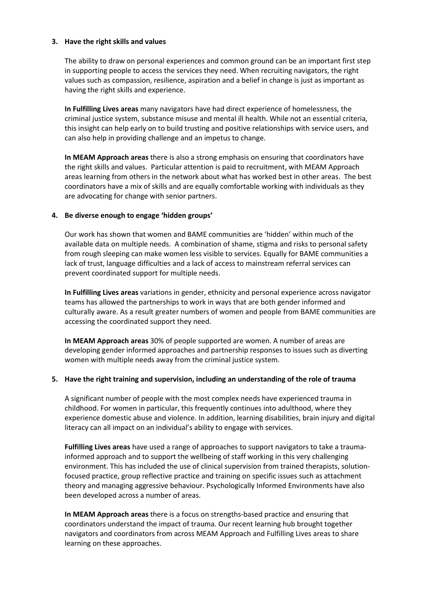#### **3. Have the right skills and values**

The ability to draw on personal experiences and common ground can be an important first step in supporting people to access the services they need. When recruiting navigators, the right values such as compassion, resilience, aspiration and a belief in change is just as important as having the right skills and experience.

**In Fulfilling Lives areas** many navigators have had direct experience of homelessness, the criminal justice system, substance misuse and mental ill health. While not an essential criteria, this insight can help early on to build trusting and positive relationships with service users, and can also help in providing challenge and an impetus to change.

**In MEAM Approach areas** there is also a strong emphasis on ensuring that coordinators have the right skills and values. Particular attention is paid to recruitment, with MEAM Approach areas learning from others in the network about what has worked best in other areas. The best coordinators have a mix of skills and are equally comfortable working with individuals as they are advocating for change with senior partners.

## **4. Be diverse enough to engage 'hidden groups'**

Our work has shown that women and BAME communities are 'hidden' within much of the available data on multiple needs. A combination of shame, stigma and risks to personal safety from rough sleeping can make women less visible to services. Equally for BAME communities a lack of trust, language difficulties and a lack of access to mainstream referral services can prevent coordinated support for multiple needs.

**In Fulfilling Lives areas** variations in gender, ethnicity and personal experience across navigator teams has allowed the partnerships to work in ways that are both gender informed and culturally aware. As a result greater numbers of women and people from BAME communities are accessing the coordinated support they need.

**In MEAM Approach areas** 30% of people supported are women. A number of areas are developing gender informed approaches and partnership responses to issues such as diverting women with multiple needs away from the criminal justice system.

#### **5. Have the right training and supervision, including an understanding of the role of trauma**

A significant number of people with the most complex needs have experienced trauma in childhood. For women in particular, this frequently continues into adulthood, where they experience domestic abuse and violence. In addition, learning disabilities, brain injury and digital literacy can all impact on an individual's ability to engage with services.

**Fulfilling Lives areas** have used a range of approaches to support navigators to take a traumainformed approach and to support the wellbeing of staff working in this very challenging environment. This has included the use of clinical supervision from trained therapists, solutionfocused practice, group reflective practice and training on specific issues such as attachment theory and managing aggressive behaviour. Psychologically Informed Environments have also been developed across a number of areas.

**In MEAM Approach areas** there is a focus on strengths-based practice and ensuring that coordinators understand the impact of trauma. Our recent learning hub brought together navigators and coordinators from across MEAM Approach and Fulfilling Lives areas to share learning on these approaches.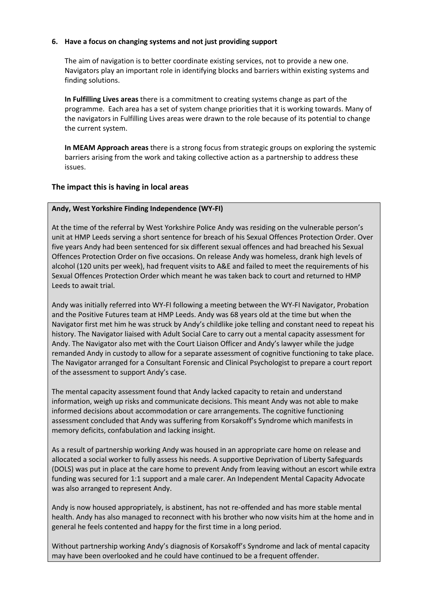#### **6. Have a focus on changing systems and not just providing support**

The aim of navigation is to better coordinate existing services, not to provide a new one. Navigators play an important role in identifying blocks and barriers within existing systems and finding solutions.

**In Fulfilling Lives areas** there is a commitment to creating systems change as part of the programme. Each area has a set of system change priorities that it is working towards. Many of the navigators in Fulfilling Lives areas were drawn to the role because of its potential to change the current system.

**In MEAM Approach areas** there is a strong focus from strategic groups on exploring the systemic barriers arising from the work and taking collective action as a partnership to address these issues.

# **The impact this is having in local areas**

## **Andy, West Yorkshire Finding Independence (WY-FI)**

At the time of the referral by West Yorkshire Police Andy was residing on the vulnerable person's unit at HMP Leeds serving a short sentence for breach of his Sexual Offences Protection Order. Over five years Andy had been sentenced for six different sexual offences and had breached his Sexual Offences Protection Order on five occasions. On release Andy was homeless, drank high levels of alcohol (120 units per week), had frequent visits to A&E and failed to meet the requirements of his Sexual Offences Protection Order which meant he was taken back to court and returned to HMP Leeds to await trial.

Andy was initially referred into WY-FI following a meeting between the WY-FI Navigator, Probation and the Positive Futures team at HMP Leeds. Andy was 68 years old at the time but when the Navigator first met him he was struck by Andy's childlike joke telling and constant need to repeat his history. The Navigator liaised with Adult Social Care to carry out a mental capacity assessment for Andy. The Navigator also met with the Court Liaison Officer and Andy's lawyer while the judge remanded Andy in custody to allow for a separate assessment of cognitive functioning to take place. The Navigator arranged for a Consultant Forensic and Clinical Psychologist to prepare a court report of the assessment to support Andy's case.

The mental capacity assessment found that Andy lacked capacity to retain and understand information, weigh up risks and communicate decisions. This meant Andy was not able to make informed decisions about accommodation or care arrangements. The cognitive functioning assessment concluded that Andy was suffering from Korsakoff's Syndrome which manifests in memory deficits, confabulation and lacking insight.

As a result of partnership working Andy was housed in an appropriate care home on release and allocated a social worker to fully assess his needs. A supportive Deprivation of Liberty Safeguards (DOLS) was put in place at the care home to prevent Andy from leaving without an escort while extra funding was secured for 1:1 support and a male carer. An Independent Mental Capacity Advocate was also arranged to represent Andy.

Andy is now housed appropriately, is abstinent, has not re-offended and has more stable mental health. Andy has also managed to reconnect with his brother who now visits him at the home and in general he feels contented and happy for the first time in a long period.

Without partnership working Andy's diagnosis of Korsakoff's Syndrome and lack of mental capacity may have been overlooked and he could have continued to be a frequent offender.